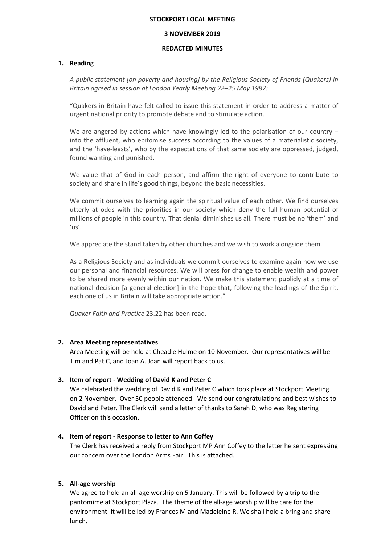#### **STOCKPORT LOCAL MEETING**

### **3 NOVEMBER 2019**

### **REDACTED MINUTES**

## **1. Reading**

*A public statement [on poverty and housing] by the Religious Society of Friends (Quakers) in Britain agreed in session at London Yearly Meeting 22–25 May 1987:*

"Quakers in Britain have felt called to issue this statement in order to address a matter of urgent national priority to promote debate and to stimulate action.

We are angered by actions which have knowingly led to the polarisation of our country  $$ into the affluent, who epitomise success according to the values of a materialistic society, and the 'have-leasts', who by the expectations of that same society are oppressed, judged, found wanting and punished.

We value that of God in each person, and affirm the right of everyone to contribute to society and share in life's good things, beyond the basic necessities.

We commit ourselves to learning again the spiritual value of each other. We find ourselves utterly at odds with the priorities in our society which deny the full human potential of millions of people in this country. That denial diminishes us all. There must be no 'them' and 'us'.

We appreciate the stand taken by other churches and we wish to work alongside them.

As a Religious Society and as individuals we commit ourselves to examine again how we use our personal and financial resources. We will press for change to enable wealth and power to be shared more evenly within our nation. We make this statement publicly at a time of national decision [a general election] in the hope that, following the leadings of the Spirit, each one of us in Britain will take appropriate action."

*Quaker Faith and Practice* 23.22 has been read.

# **2. Area Meeting representatives**

Area Meeting will be held at Cheadle Hulme on 10 November. Our representatives will be Tim and Pat C, and Joan A. Joan will report back to us.

# **3. Item of report - Wedding of David K and Peter C**

We celebrated the wedding of David K and Peter C which took place at Stockport Meeting on 2 November. Over 50 people attended. We send our congratulations and best wishes to David and Peter. The Clerk will send a letter of thanks to Sarah D, who was Registering Officer on this occasion.

## **4. Item of report - Response to letter to Ann Coffey**

The Clerk has received a reply from Stockport MP Ann Coffey to the letter he sent expressing our concern over the London Arms Fair. This is attached.

# **5. All-age worship**

We agree to hold an all-age worship on 5 January. This will be followed by a trip to the pantomime at Stockport Plaza. The theme of the all-age worship will be care for the environment. It will be led by Frances M and Madeleine R. We shall hold a bring and share lunch.